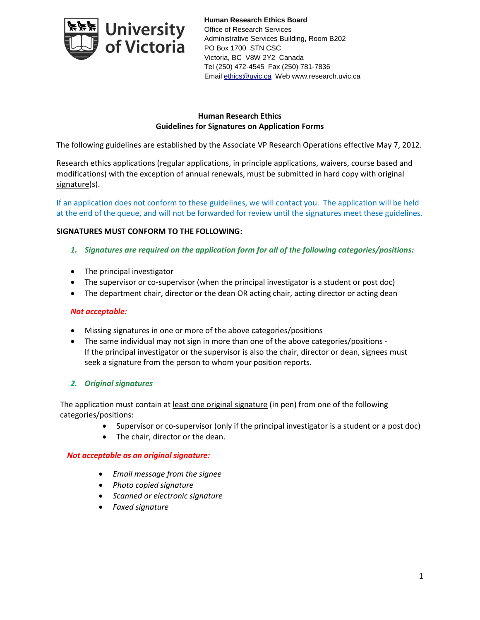

**Human Research Ethics Board** Office of Research Services Administrative Services Building, Room B202 PO Box 1700 STN CSC Victoria, BC V8W 2Y2 Canada Tel (250) 472-4545 Fax (250) 781-7836 Emai[l ethics@uvic.ca](mailto:ethics@uvic.ca) Web www.research.uvic.ca

# **Human Research Ethics Guidelines for Signatures on Application Forms**

The following guidelines are established by the Associate VP Research Operations effective May 7, 2012.

Research ethics applications (regular applications, in principle applications, waivers, course based and modifications) with the exception of annual renewals, must be submitted in hard copy with original signature(s).

If an application does not conform to these guidelines, we will contact you. The application will be held at the end of the queue, and will not be forwarded for review until the signatures meet these guidelines.

### **SIGNATURES MUST CONFORM TO THE FOLLOWING:**

- *1. Signatures are required on the application form for all of the following categories/positions:*
- The principal investigator
- The supervisor or co-supervisor (when the principal investigator is a student or post doc)
- The department chair, director or the dean OR acting chair, acting director or acting dean

#### *Not acceptable:*

- Missing signatures in one or more of the above categories/positions
- The same individual may not sign in more than one of the above categories/positions If the principal investigator or the supervisor is also the chair, director or dean, signees must seek a signature from the person to whom your position reports.

# *2. Original signatures*

The application must contain at least one original signature (in pen) from one of the following categories/positions:

- Supervisor or co-supervisor (only if the principal investigator is a student or a post doc)
- The chair, director or the dean.

#### *Not acceptable as an original signature:*

- *Email message from the signee*
- *Photo copied signature*
- *Scanned or electronic signature*
- *Faxed signature*